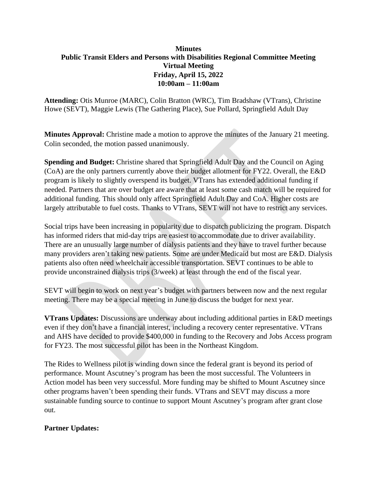## **Minutes Public Transit Elders and Persons with Disabilities Regional Committee Meeting Virtual Meeting Friday, April 15, 2022 10:00am – 11:00am**

**Attending:** Otis Munroe (MARC), Colin Bratton (WRC), Tim Bradshaw (VTrans), Christine Howe (SEVT), Maggie Lewis (The Gathering Place), Sue Pollard, Springfield Adult Day

**Minutes Approval:** Christine made a motion to approve the minutes of the January 21 meeting. Colin seconded, the motion passed unanimously.

**Spending and Budget:** Christine shared that Springfield Adult Day and the Council on Aging (CoA) are the only partners currently above their budget allotment for FY22. Overall, the E&D program is likely to slightly overspend its budget. VTrans has extended additional funding if needed. Partners that are over budget are aware that at least some cash match will be required for additional funding. This should only affect Springfield Adult Day and CoA. Higher costs are largely attributable to fuel costs. Thanks to VTrans, SEVT will not have to restrict any services.

Social trips have been increasing in popularity due to dispatch publicizing the program. Dispatch has informed riders that mid-day trips are easiest to accommodate due to driver availability. There are an unusually large number of dialysis patients and they have to travel further because many providers aren't taking new patients. Some are under Medicaid but most are E&D. Dialysis patients also often need wheelchair accessible transportation. SEVT continues to be able to provide unconstrained dialysis trips (3/week) at least through the end of the fiscal year.

SEVT will begin to work on next year's budget with partners between now and the next regular meeting. There may be a special meeting in June to discuss the budget for next year.

**VTrans Updates:** Discussions are underway about including additional parties in E&D meetings even if they don't have a financial interest, including a recovery center representative. VTrans and AHS have decided to provide \$400,000 in funding to the Recovery and Jobs Access program for FY23. The most successful pilot has been in the Northeast Kingdom.

The Rides to Wellness pilot is winding down since the federal grant is beyond its period of performance. Mount Ascutney's program has been the most successful. The Volunteers in Action model has been very successful. More funding may be shifted to Mount Ascutney since other programs haven't been spending their funds. VTrans and SEVT may discuss a more sustainable funding source to continue to support Mount Ascutney's program after grant close out.

## **Partner Updates:**